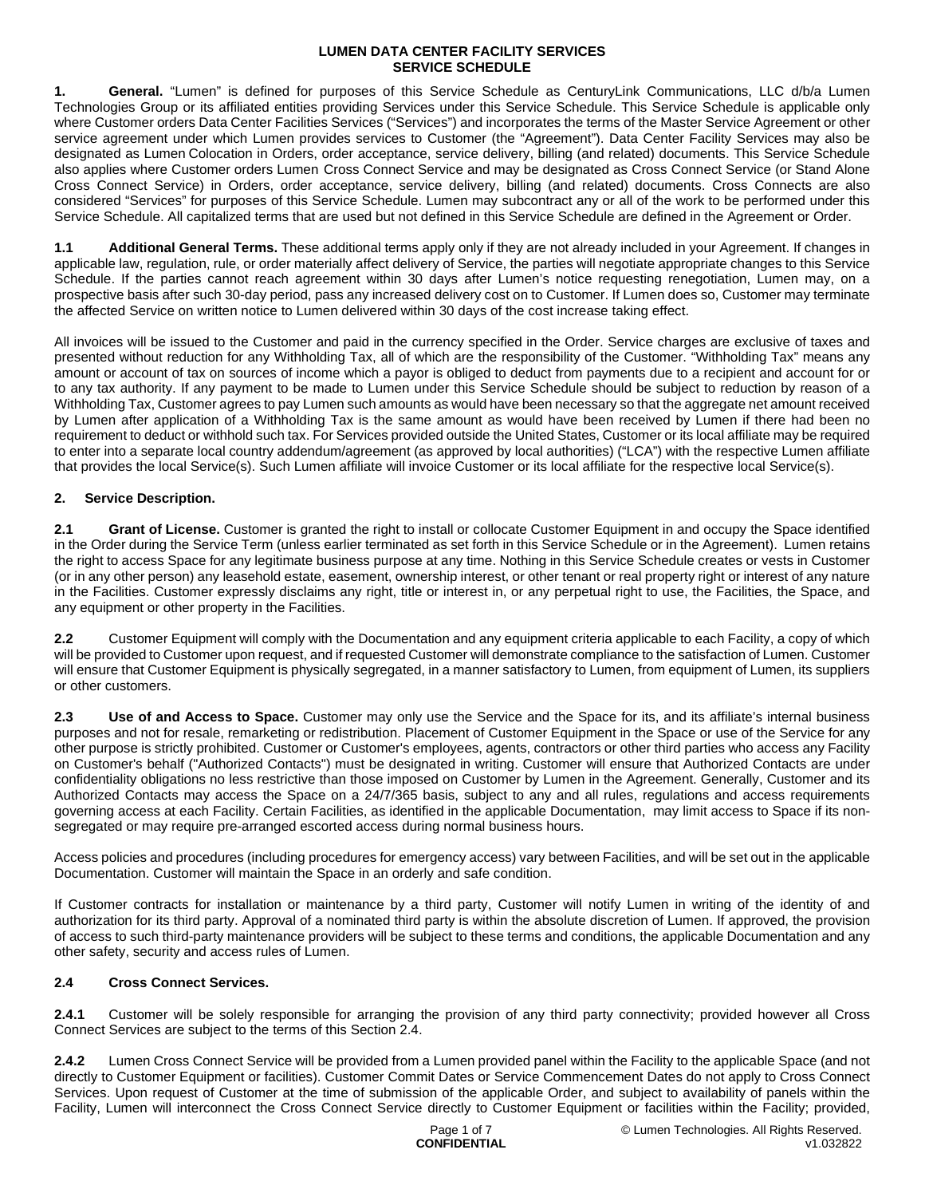**1. General.** "Lumen" is defined for purposes of this Service Schedule as CenturyLink Communications, LLC d/b/a Lumen Technologies Group or its affiliated entities providing Services under this Service Schedule. This Service Schedule is applicable only where Customer orders Data Center Facilities Services ("Services") and incorporates the terms of the Master Service Agreement or other service agreement under which Lumen provides services to Customer (the "Agreement"). Data Center Facility Services may also be designated as Lumen Colocation in Orders, order acceptance, service delivery, billing (and related) documents. This Service Schedule also applies where Customer orders Lumen Cross Connect Service and may be designated as Cross Connect Service (or Stand Alone Cross Connect Service) in Orders, order acceptance, service delivery, billing (and related) documents. Cross Connects are also considered "Services" for purposes of this Service Schedule. Lumen may subcontract any or all of the work to be performed under this Service Schedule. All capitalized terms that are used but not defined in this Service Schedule are defined in the Agreement or Order.

**1.1 Additional General Terms.** These additional terms apply only if they are not already included in your Agreement. If changes in applicable law, regulation, rule, or order materially affect delivery of Service, the parties will negotiate appropriate changes to this Service Schedule. If the parties cannot reach agreement within 30 days after Lumen's notice requesting renegotiation, Lumen may, on a prospective basis after such 30-day period, pass any increased delivery cost on to Customer. If Lumen does so, Customer may terminate the affected Service on written notice to Lumen delivered within 30 days of the cost increase taking effect.

All invoices will be issued to the Customer and paid in the currency specified in the Order. Service charges are exclusive of taxes and presented without reduction for any Withholding Tax, all of which are the responsibility of the Customer. "Withholding Tax" means any amount or account of tax on sources of income which a payor is obliged to deduct from payments due to a recipient and account for or to any tax authority. If any payment to be made to Lumen under this Service Schedule should be subject to reduction by reason of a Withholding Tax, Customer agrees to pay Lumen such amounts as would have been necessary so that the aggregate net amount received by Lumen after application of a Withholding Tax is the same amount as would have been received by Lumen if there had been no requirement to deduct or withhold such tax. For Services provided outside the United States, Customer or its local affiliate may be required to enter into a separate local country addendum/agreement (as approved by local authorities) ("LCA") with the respective Lumen affiliate that provides the local Service(s). Such Lumen affiliate will invoice Customer or its local affiliate for the respective local Service(s).

# **2. Service Description.**

**2.1 Grant of License.** Customer is granted the right to install or collocate Customer Equipment in and occupy the Space identified in the Order during the Service Term (unless earlier terminated as set forth in this Service Schedule or in the Agreement). Lumen retains the right to access Space for any legitimate business purpose at any time. Nothing in this Service Schedule creates or vests in Customer (or in any other person) any leasehold estate, easement, ownership interest, or other tenant or real property right or interest of any nature in the Facilities. Customer expressly disclaims any right, title or interest in, or any perpetual right to use, the Facilities, the Space, and any equipment or other property in the Facilities.

**2.2** Customer Equipment will comply with the Documentation and any equipment criteria applicable to each Facility, a copy of which will be provided to Customer upon request, and if requested Customer will demonstrate compliance to the satisfaction of Lumen. Customer will ensure that Customer Equipment is physically segregated, in a manner satisfactory to Lumen, from equipment of Lumen, its suppliers or other customers.

**2.3 Use of and Access to Space.** Customer may only use the Service and the Space for its, and its affiliate's internal business purposes and not for resale, remarketing or redistribution. Placement of Customer Equipment in the Space or use of the Service for any other purpose is strictly prohibited. Customer or Customer's employees, agents, contractors or other third parties who access any Facility on Customer's behalf ("Authorized Contacts") must be designated in writing. Customer will ensure that Authorized Contacts are under confidentiality obligations no less restrictive than those imposed on Customer by Lumen in the Agreement. Generally, Customer and its Authorized Contacts may access the Space on a 24/7/365 basis, subject to any and all rules, regulations and access requirements governing access at each Facility. Certain Facilities, as identified in the applicable Documentation, may limit access to Space if its nonsegregated or may require pre-arranged escorted access during normal business hours.

Access policies and procedures (including procedures for emergency access) vary between Facilities, and will be set out in the applicable Documentation. Customer will maintain the Space in an orderly and safe condition.

If Customer contracts for installation or maintenance by a third party, Customer will notify Lumen in writing of the identity of and authorization for its third party. Approval of a nominated third party is within the absolute discretion of Lumen. If approved, the provision of access to such third-party maintenance providers will be subject to these terms and conditions, the applicable Documentation and any other safety, security and access rules of Lumen.

## **2.4 Cross Connect Services.**

**2.4.1** Customer will be solely responsible for arranging the provision of any third party connectivity; provided however all Cross Connect Services are subject to the terms of this Section 2.4.

**2.4.2** Lumen Cross Connect Service will be provided from a Lumen provided panel within the Facility to the applicable Space (and not directly to Customer Equipment or facilities). Customer Commit Dates or Service Commencement Dates do not apply to Cross Connect Services. Upon request of Customer at the time of submission of the applicable Order, and subject to availability of panels within the Facility, Lumen will interconnect the Cross Connect Service directly to Customer Equipment or facilities within the Facility; provided,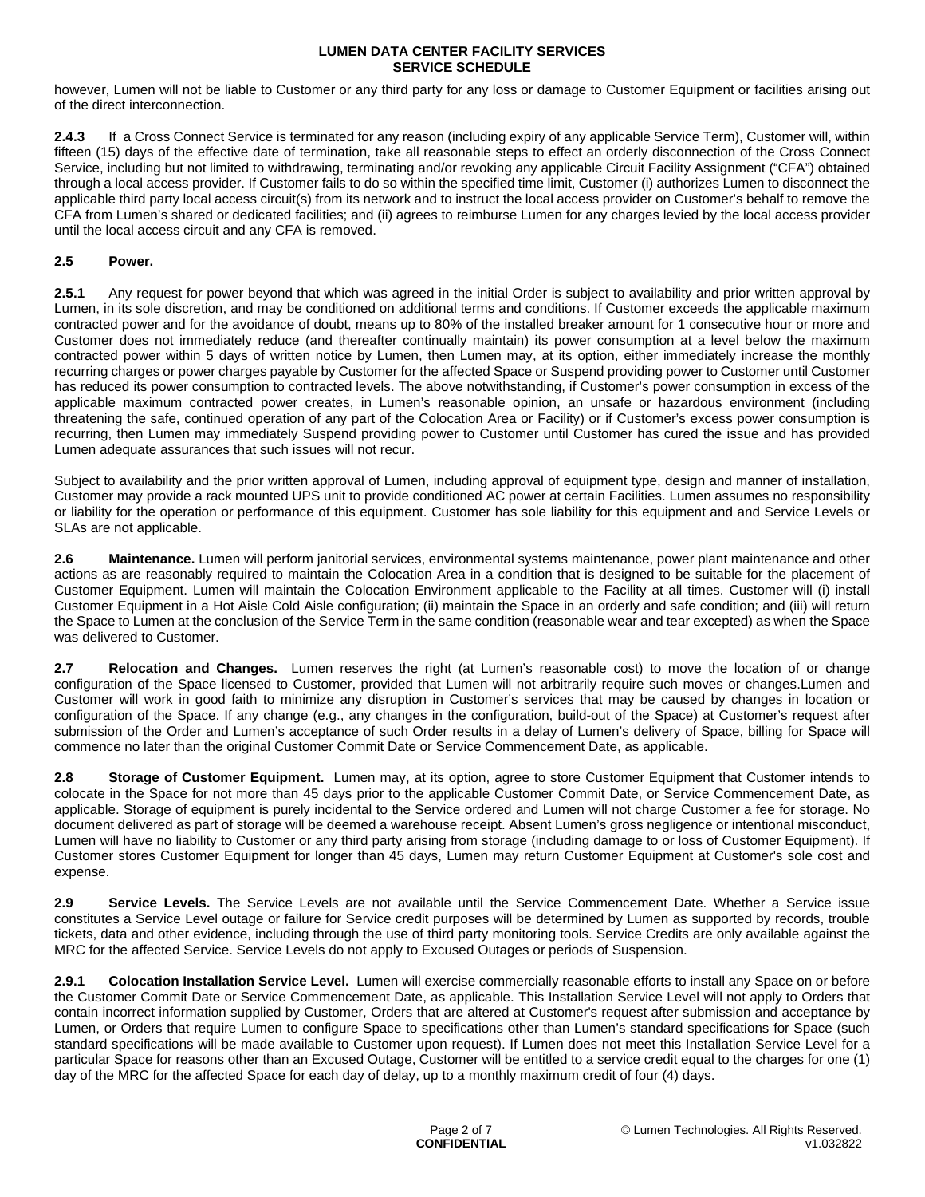however, Lumen will not be liable to Customer or any third party for any loss or damage to Customer Equipment or facilities arising out of the direct interconnection.

**2.4.3** If a Cross Connect Service is terminated for any reason (including expiry of any applicable Service Term), Customer will, within fifteen (15) days of the effective date of termination, take all reasonable steps to effect an orderly disconnection of the Cross Connect Service, including but not limited to withdrawing, terminating and/or revoking any applicable Circuit Facility Assignment ("CFA") obtained through a local access provider. If Customer fails to do so within the specified time limit, Customer (i) authorizes Lumen to disconnect the applicable third party local access circuit(s) from its network and to instruct the local access provider on Customer's behalf to remove the CFA from Lumen's shared or dedicated facilities; and (ii) agrees to reimburse Lumen for any charges levied by the local access provider until the local access circuit and any CFA is removed.

# **2.5 Power.**

**2.5.1** Any request for power beyond that which was agreed in the initial Order is subject to availability and prior written approval by Lumen, in its sole discretion, and may be conditioned on additional terms and conditions. If Customer exceeds the applicable maximum contracted power and for the avoidance of doubt, means up to 80% of the installed breaker amount for 1 consecutive hour or more and Customer does not immediately reduce (and thereafter continually maintain) its power consumption at a level below the maximum contracted power within 5 days of written notice by Lumen, then Lumen may, at its option, either immediately increase the monthly recurring charges or power charges payable by Customer for the affected Space or Suspend providing power to Customer until Customer has reduced its power consumption to contracted levels. The above notwithstanding, if Customer's power consumption in excess of the applicable maximum contracted power creates, in Lumen's reasonable opinion, an unsafe or hazardous environment (including threatening the safe, continued operation of any part of the Colocation Area or Facility) or if Customer's excess power consumption is recurring, then Lumen may immediately Suspend providing power to Customer until Customer has cured the issue and has provided Lumen adequate assurances that such issues will not recur.

Subject to availability and the prior written approval of Lumen, including approval of equipment type, design and manner of installation, Customer may provide a rack mounted UPS unit to provide conditioned AC power at certain Facilities. Lumen assumes no responsibility or liability for the operation or performance of this equipment. Customer has sole liability for this equipment and and Service Levels or SLAs are not applicable.

**2.6 Maintenance.** Lumen will perform janitorial services, environmental systems maintenance, power plant maintenance and other actions as are reasonably required to maintain the Colocation Area in a condition that is designed to be suitable for the placement of Customer Equipment. Lumen will maintain the Colocation Environment applicable to the Facility at all times. Customer will (i) install Customer Equipment in a Hot Aisle Cold Aisle configuration; (ii) maintain the Space in an orderly and safe condition; and (iii) will return the Space to Lumen at the conclusion of the Service Term in the same condition (reasonable wear and tear excepted) as when the Space was delivered to Customer.

**2.7 Relocation and Changes.** Lumen reserves the right (at Lumen's reasonable cost) to move the location of or change configuration of the Space licensed to Customer, provided that Lumen will not arbitrarily require such moves or changes.Lumen and Customer will work in good faith to minimize any disruption in Customer's services that may be caused by changes in location or configuration of the Space. If any change (e.g., any changes in the configuration, build-out of the Space) at Customer's request after submission of the Order and Lumen's acceptance of such Order results in a delay of Lumen's delivery of Space, billing for Space will commence no later than the original Customer Commit Date or Service Commencement Date, as applicable.

**2.8 Storage of Customer Equipment.** Lumen may, at its option, agree to store Customer Equipment that Customer intends to colocate in the Space for not more than 45 days prior to the applicable Customer Commit Date, or Service Commencement Date, as applicable. Storage of equipment is purely incidental to the Service ordered and Lumen will not charge Customer a fee for storage. No document delivered as part of storage will be deemed a warehouse receipt. Absent Lumen's gross negligence or intentional misconduct, Lumen will have no liability to Customer or any third party arising from storage (including damage to or loss of Customer Equipment). If Customer stores Customer Equipment for longer than 45 days, Lumen may return Customer Equipment at Customer's sole cost and expense.

**2.9 Service Levels.** The Service Levels are not available until the Service Commencement Date. Whether a Service issue constitutes a Service Level outage or failure for Service credit purposes will be determined by Lumen as supported by records, trouble tickets, data and other evidence, including through the use of third party monitoring tools. Service Credits are only available against the MRC for the affected Service. Service Levels do not apply to Excused Outages or periods of Suspension.

**2.9.1 Colocation Installation Service Level.** Lumen will exercise commercially reasonable efforts to install any Space on or before the Customer Commit Date or Service Commencement Date, as applicable. This Installation Service Level will not apply to Orders that contain incorrect information supplied by Customer, Orders that are altered at Customer's request after submission and acceptance by Lumen, or Orders that require Lumen to configure Space to specifications other than Lumen's standard specifications for Space (such standard specifications will be made available to Customer upon request). If Lumen does not meet this Installation Service Level for a particular Space for reasons other than an Excused Outage, Customer will be entitled to a service credit equal to the charges for one (1) day of the MRC for the affected Space for each day of delay, up to a monthly maximum credit of four (4) days.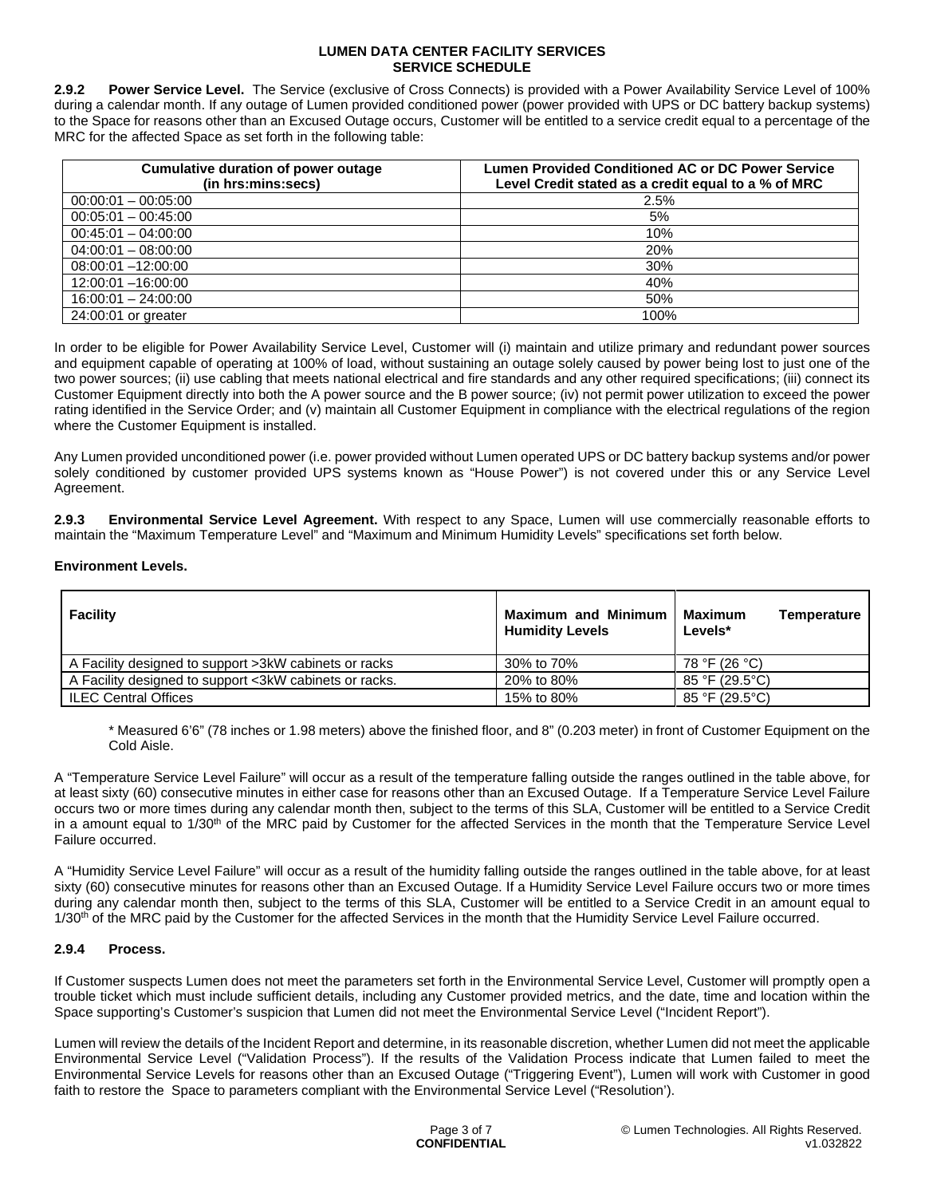**2.9.2 Power Service Level.** The Service (exclusive of Cross Connects) is provided with a Power Availability Service Level of 100% during a calendar month. If any outage of Lumen provided conditioned power (power provided with UPS or DC battery backup systems) to the Space for reasons other than an Excused Outage occurs, Customer will be entitled to a service credit equal to a percentage of the MRC for the affected Space as set forth in the following table:

| Cumulative duration of power outage<br>(in hrs:mins:secs) | <b>Lumen Provided Conditioned AC or DC Power Service</b><br>Level Credit stated as a credit equal to a % of MRC |  |
|-----------------------------------------------------------|-----------------------------------------------------------------------------------------------------------------|--|
| $00:00:01 - 00:05:00$                                     | 2.5%                                                                                                            |  |
| $00:05:01 - 00:45:00$                                     | 5%                                                                                                              |  |
| $00:45:01 - 04:00:00$                                     | 10%                                                                                                             |  |
| $04:00:01 - 08:00:00$                                     | 20%                                                                                                             |  |
| $08:00:01 - 12:00:00$                                     | 30%                                                                                                             |  |
| 12:00:01 -16:00:00                                        | 40%                                                                                                             |  |
| $16:00:01 - 24:00:00$                                     | 50%                                                                                                             |  |
| 24:00:01 or greater                                       | 100%                                                                                                            |  |

In order to be eligible for Power Availability Service Level, Customer will (i) maintain and utilize primary and redundant power sources and equipment capable of operating at 100% of load, without sustaining an outage solely caused by power being lost to just one of the two power sources; (ii) use cabling that meets national electrical and fire standards and any other required specifications; (iii) connect its Customer Equipment directly into both the A power source and the B power source; (iv) not permit power utilization to exceed the power rating identified in the Service Order; and (v) maintain all Customer Equipment in compliance with the electrical regulations of the region where the Customer Equipment is installed.

Any Lumen provided unconditioned power (i.e. power provided without Lumen operated UPS or DC battery backup systems and/or power solely conditioned by customer provided UPS systems known as "House Power") is not covered under this or any Service Level Agreement.

**2.9.3 Environmental Service Level Agreement.** With respect to any Space, Lumen will use commercially reasonable efforts to maintain the "Maximum Temperature Level" and "Maximum and Minimum Humidity Levels" specifications set forth below.

## **Environment Levels.**

| Facility                                               | <b>Maximum and Minimum</b><br><b>Humidity Levels</b> | Maximum<br>Temperature<br>Levels* |
|--------------------------------------------------------|------------------------------------------------------|-----------------------------------|
| A Facility designed to support >3kW cabinets or racks  | 30% to 70%                                           | 78 °F (26 °C)                     |
| A Facility designed to support <3kW cabinets or racks. | 20% to 80%                                           | 85 °F (29.5°C)                    |
| <b>ILEC Central Offices</b>                            | 15% to 80%                                           | 85 °F (29.5°C)                    |

\* Measured 6'6" (78 inches or 1.98 meters) above the finished floor, and 8" (0.203 meter) in front of Customer Equipment on the Cold Aisle.

A "Temperature Service Level Failure" will occur as a result of the temperature falling outside the ranges outlined in the table above, for at least sixty (60) consecutive minutes in either case for reasons other than an Excused Outage. If a Temperature Service Level Failure occurs two or more times during any calendar month then, subject to the terms of this SLA, Customer will be entitled to a Service Credit in a amount equal to 1/30<sup>th</sup> of the MRC paid by Customer for the affected Services in the month that the Temperature Service Level Failure occurred.

A "Humidity Service Level Failure" will occur as a result of the humidity falling outside the ranges outlined in the table above, for at least sixty (60) consecutive minutes for reasons other than an Excused Outage. If a Humidity Service Level Failure occurs two or more times during any calendar month then, subject to the terms of this SLA, Customer will be entitled to a Service Credit in an amount equal to  $1/30<sup>th</sup>$  of the MRC paid by the Customer for the affected Services in the month that the Humidity Service Level Failure occurred.

## **2.9.4 Process.**

If Customer suspects Lumen does not meet the parameters set forth in the Environmental Service Level, Customer will promptly open a trouble ticket which must include sufficient details, including any Customer provided metrics, and the date, time and location within the Space supporting's Customer's suspicion that Lumen did not meet the Environmental Service Level ("Incident Report").

Lumen will review the details of the Incident Report and determine, in its reasonable discretion, whether Lumen did not meet the applicable Environmental Service Level ("Validation Process"). If the results of the Validation Process indicate that Lumen failed to meet the Environmental Service Levels for reasons other than an Excused Outage ("Triggering Event"), Lumen will work with Customer in good faith to restore the Space to parameters compliant with the Environmental Service Level ("Resolution').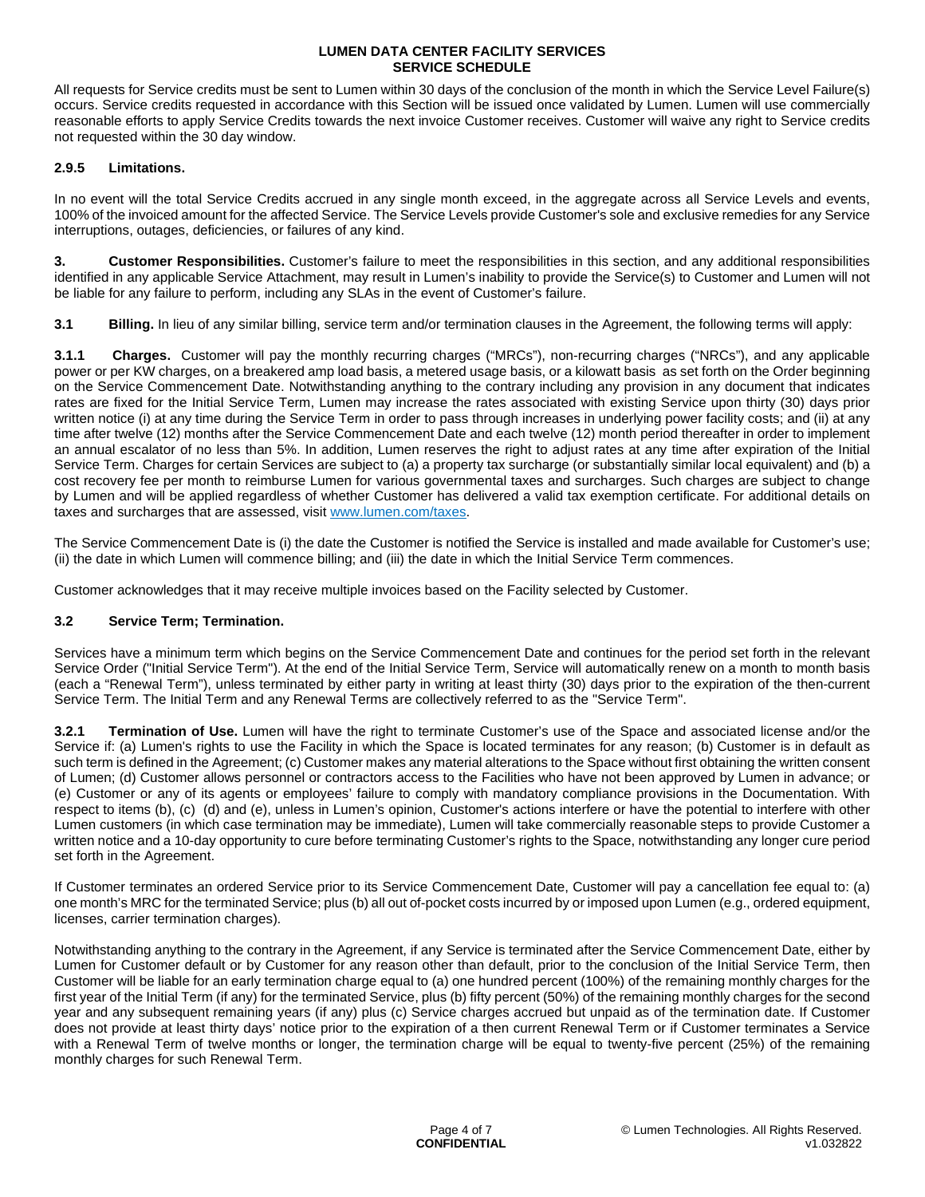All requests for Service credits must be sent to Lumen within 30 days of the conclusion of the month in which the Service Level Failure(s) occurs. Service credits requested in accordance with this Section will be issued once validated by Lumen. Lumen will use commercially reasonable efforts to apply Service Credits towards the next invoice Customer receives. Customer will waive any right to Service credits not requested within the 30 day window.

### **2.9.5 Limitations.**

In no event will the total Service Credits accrued in any single month exceed, in the aggregate across all Service Levels and events, 100% of the invoiced amount for the affected Service. The Service Levels provide Customer's sole and exclusive remedies for any Service interruptions, outages, deficiencies, or failures of any kind.

**3. Customer Responsibilities.** Customer's failure to meet the responsibilities in this section, and any additional responsibilities identified in any applicable Service Attachment, may result in Lumen's inability to provide the Service(s) to Customer and Lumen will not be liable for any failure to perform, including any SLAs in the event of Customer's failure.

**3.1** Billing. In lieu of any similar billing, service term and/or termination clauses in the Agreement, the following terms will apply:

**3.1.1 Charges.** Customer will pay the monthly recurring charges ("MRCs"), non-recurring charges ("NRCs"), and any applicable power or per KW charges, on a breakered amp load basis, a metered usage basis, or a kilowatt basis as set forth on the Order beginning on the Service Commencement Date. Notwithstanding anything to the contrary including any provision in any document that indicates rates are fixed for the Initial Service Term, Lumen may increase the rates associated with existing Service upon thirty (30) days prior written notice (i) at any time during the Service Term in order to pass through increases in underlying power facility costs; and (ii) at any time after twelve (12) months after the Service Commencement Date and each twelve (12) month period thereafter in order to implement an annual escalator of no less than 5%. In addition, Lumen reserves the right to adjust rates at any time after expiration of the Initial Service Term. Charges for certain Services are subject to (a) a property tax surcharge (or substantially similar local equivalent) and (b) a cost recovery fee per month to reimburse Lumen for various governmental taxes and surcharges. Such charges are subject to change by Lumen and will be applied regardless of whether Customer has delivered a valid tax exemption certificate. For additional details on taxes and surcharges that are assessed, visit [www.lumen.com/taxes.](http://www.lumen.com/taxes)

The Service Commencement Date is (i) the date the Customer is notified the Service is installed and made available for Customer's use; (ii) the date in which Lumen will commence billing; and (iii) the date in which the Initial Service Term commences.

Customer acknowledges that it may receive multiple invoices based on the Facility selected by Customer.

## **3.2 Service Term; Termination.**

Services have a minimum term which begins on the Service Commencement Date and continues for the period set forth in the relevant Service Order ("Initial Service Term"). At the end of the Initial Service Term, Service will automatically renew on a month to month basis (each a "Renewal Term"), unless terminated by either party in writing at least thirty (30) days prior to the expiration of the then-current Service Term. The Initial Term and any Renewal Terms are collectively referred to as the "Service Term".

**3.2.1 Termination of Use.** Lumen will have the right to terminate Customer's use of the Space and associated license and/or the Service if: (a) Lumen's rights to use the Facility in which the Space is located terminates for any reason; (b) Customer is in default as such term is defined in the Agreement; (c) Customer makes any material alterations to the Space without first obtaining the written consent of Lumen; (d) Customer allows personnel or contractors access to the Facilities who have not been approved by Lumen in advance; or (e) Customer or any of its agents or employees' failure to comply with mandatory compliance provisions in the Documentation. With respect to items (b), (c) (d) and (e), unless in Lumen's opinion, Customer's actions interfere or have the potential to interfere with other Lumen customers (in which case termination may be immediate), Lumen will take commercially reasonable steps to provide Customer a written notice and a 10-day opportunity to cure before terminating Customer's rights to the Space, notwithstanding any longer cure period set forth in the Agreement.

If Customer terminates an ordered Service prior to its Service Commencement Date, Customer will pay a cancellation fee equal to: (a) one month's MRC for the terminated Service; plus (b) all out of-pocket costs incurred by or imposed upon Lumen (e.g., ordered equipment, licenses, carrier termination charges).

Notwithstanding anything to the contrary in the Agreement, if any Service is terminated after the Service Commencement Date, either by Lumen for Customer default or by Customer for any reason other than default, prior to the conclusion of the Initial Service Term, then Customer will be liable for an early termination charge equal to (a) one hundred percent (100%) of the remaining monthly charges for the first year of the Initial Term (if any) for the terminated Service, plus (b) fifty percent (50%) of the remaining monthly charges for the second year and any subsequent remaining years (if any) plus (c) Service charges accrued but unpaid as of the termination date. If Customer does not provide at least thirty days' notice prior to the expiration of a then current Renewal Term or if Customer terminates a Service with a Renewal Term of twelve months or longer, the termination charge will be equal to twenty-five percent (25%) of the remaining monthly charges for such Renewal Term.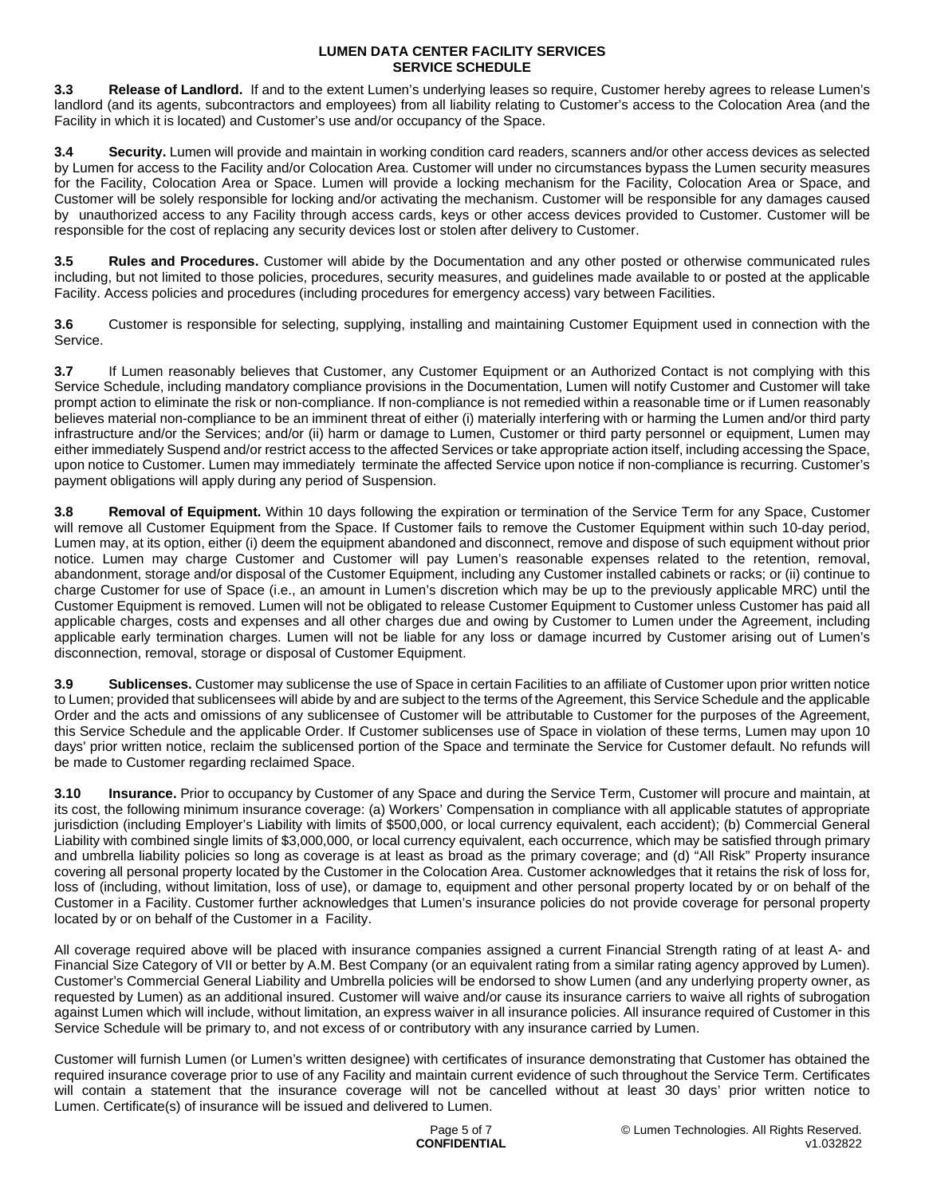**3.3 Release of Landlord.** If and to the extent Lumen's underlying leases so require, Customer hereby agrees to release Lumen's landlord (and its agents, subcontractors and employees) from all liability relating to Customer's access to the Colocation Area (and the Facility in which it is located) and Customer's use and/or occupancy of the Space.

**3.4 Security.** Lumen will provide and maintain in working condition card readers, scanners and/or other access devices as selected by Lumen for access to the Facility and/or Colocation Area. Customer will under no circumstances bypass the Lumen security measures for the Facility, Colocation Area or Space. Lumen will provide a locking mechanism for the Facility, Colocation Area or Space, and Customer will be solely responsible for locking and/or activating the mechanism. Customer will be responsible for any damages caused by unauthorized access to any Facility through access cards, keys or other access devices provided to Customer. Customer will be responsible for the cost of replacing any security devices lost or stolen after delivery to Customer.

**3.5 Rules and Procedures.** Customer will abide by the Documentation and any other posted or otherwise communicated rules including, but not limited to those policies, procedures, security measures, and guidelines made available to or posted at the applicable Facility. Access policies and procedures (including procedures for emergency access) vary between Facilities.

**3.6** Customer is responsible for selecting, supplying, installing and maintaining Customer Equipment used in connection with the Service.

**3.7** If Lumen reasonably believes that Customer, any Customer Equipment or an Authorized Contact is not complying with this Service Schedule, including mandatory compliance provisions in the Documentation, Lumen will notify Customer and Customer will take prompt action to eliminate the risk or non-compliance. If non-compliance is not remedied within a reasonable time or if Lumen reasonably believes material non-compliance to be an imminent threat of either (i) materially interfering with or harming the Lumen and/or third party infrastructure and/or the Services; and/or (ii) harm or damage to Lumen, Customer or third party personnel or equipment, Lumen may either immediately Suspend and/or restrict access to the affected Services or take appropriate action itself, including accessing the Space, upon notice to Customer. Lumen may immediately terminate the affected Service upon notice if non-compliance is recurring. Customer's payment obligations will apply during any period of Suspension.

**3.8 Removal of Equipment.** Within 10 days following the expiration or termination of the Service Term for any Space, Customer will remove all Customer Equipment from the Space. If Customer fails to remove the Customer Equipment within such 10-day period, Lumen may, at its option, either (i) deem the equipment abandoned and disconnect, remove and dispose of such equipment without prior notice. Lumen may charge Customer and Customer will pay Lumen's reasonable expenses related to the retention, removal, abandonment, storage and/or disposal of the Customer Equipment, including any Customer installed cabinets or racks; or (ii) continue to charge Customer for use of Space (i.e., an amount in Lumen's discretion which may be up to the previously applicable MRC) until the Customer Equipment is removed. Lumen will not be obligated to release Customer Equipment to Customer unless Customer has paid all applicable charges, costs and expenses and all other charges due and owing by Customer to Lumen under the Agreement, including applicable early termination charges. Lumen will not be liable for any loss or damage incurred by Customer arising out of Lumen's disconnection, removal, storage or disposal of Customer Equipment.

**3.9 Sublicenses.** Customer may sublicense the use of Space in certain Facilities to an affiliate of Customer upon prior written notice to Lumen; provided that sublicensees will abide by and are subject to the terms of the Agreement, this Service Schedule and the applicable Order and the acts and omissions of any sublicensee of Customer will be attributable to Customer for the purposes of the Agreement, this Service Schedule and the applicable Order. If Customer sublicenses use of Space in violation of these terms, Lumen may upon 10 days' prior written notice, reclaim the sublicensed portion of the Space and terminate the Service for Customer default. No refunds will be made to Customer regarding reclaimed Space.

**3.10 Insurance.** Prior to occupancy by Customer of any Space and during the Service Term, Customer will procure and maintain, at its cost, the following minimum insurance coverage: (a) Workers' Compensation in compliance with all applicable statutes of appropriate jurisdiction (including Employer's Liability with limits of \$500,000, or local currency equivalent, each accident); (b) Commercial General Liability with combined single limits of \$3,000,000, or local currency equivalent, each occurrence, which may be satisfied through primary and umbrella liability policies so long as coverage is at least as broad as the primary coverage; and (d) "All Risk" Property insurance covering all personal property located by the Customer in the Colocation Area. Customer acknowledges that it retains the risk of loss for, loss of (including, without limitation, loss of use), or damage to, equipment and other personal property located by or on behalf of the Customer in a Facility. Customer further acknowledges that Lumen's insurance policies do not provide coverage for personal property located by or on behalf of the Customer in a Facility.

All coverage required above will be placed with insurance companies assigned a current Financial Strength rating of at least A- and Financial Size Category of VII or better by A.M. Best Company (or an equivalent rating from a similar rating agency approved by Lumen). Customer's Commercial General Liability and Umbrella policies will be endorsed to show Lumen (and any underlying property owner, as requested by Lumen) as an additional insured. Customer will waive and/or cause its insurance carriers to waive all rights of subrogation against Lumen which will include, without limitation, an express waiver in all insurance policies. All insurance required of Customer in this Service Schedule will be primary to, and not excess of or contributory with any insurance carried by Lumen.

Customer will furnish Lumen (or Lumen's written designee) with certificates of insurance demonstrating that Customer has obtained the required insurance coverage prior to use of any Facility and maintain current evidence of such throughout the Service Term. Certificates will contain a statement that the insurance coverage will not be cancelled without at least 30 days' prior written notice to Lumen. Certificate(s) of insurance will be issued and delivered to Lumen.

> Page 5 of 7 **CONFIDENTIAL**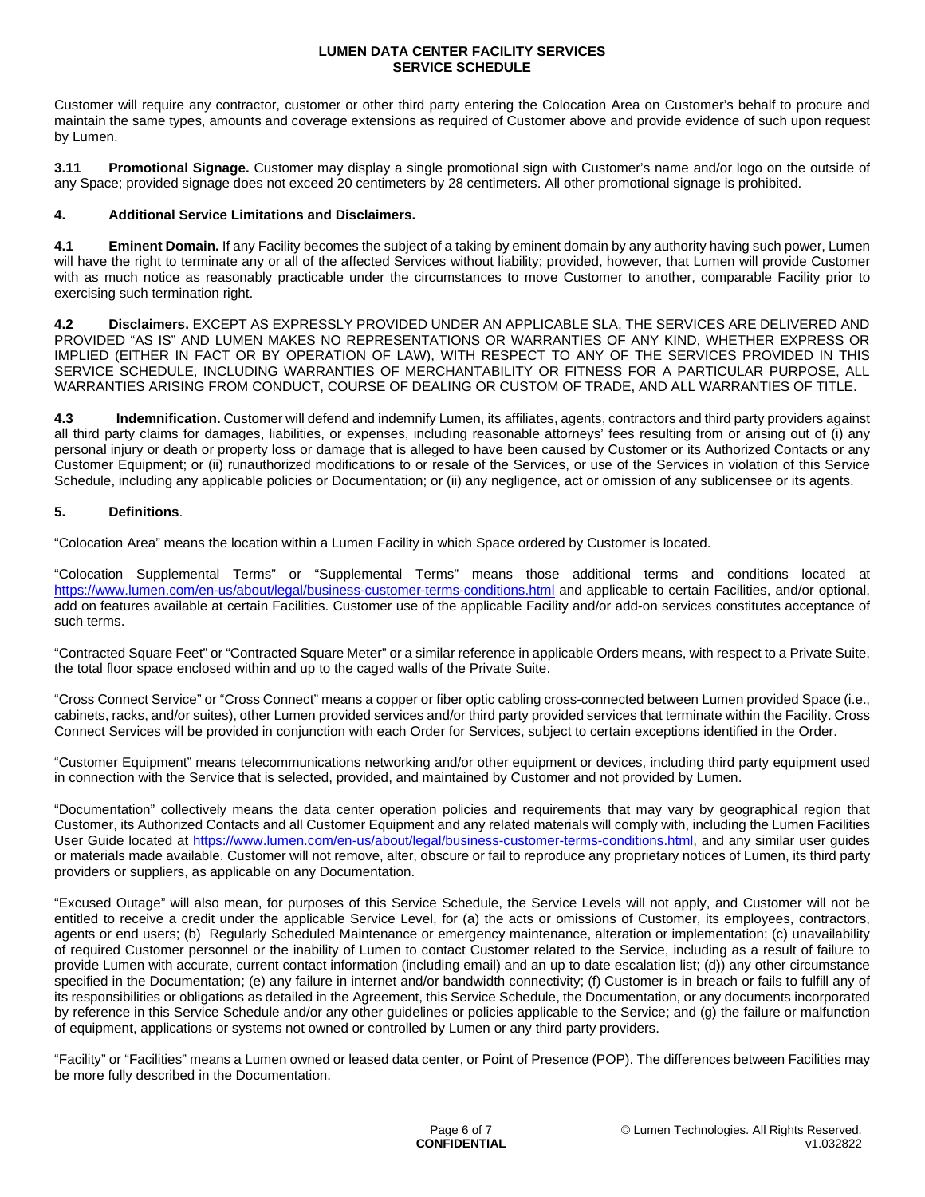Customer will require any contractor, customer or other third party entering the Colocation Area on Customer's behalf to procure and maintain the same types, amounts and coverage extensions as required of Customer above and provide evidence of such upon request by Lumen.

**3.11 Promotional Signage.** Customer may display a single promotional sign with Customer's name and/or logo on the outside of any Space; provided signage does not exceed 20 centimeters by 28 centimeters. All other promotional signage is prohibited.

# **4. Additional Service Limitations and Disclaimers.**

**4.1 Eminent Domain.** If any Facility becomes the subject of a taking by eminent domain by any authority having such power, Lumen will have the right to terminate any or all of the affected Services without liability; provided, however, that Lumen will provide Customer with as much notice as reasonably practicable under the circumstances to move Customer to another, comparable Facility prior to exercising such termination right.

**4.2 Disclaimers.** EXCEPT AS EXPRESSLY PROVIDED UNDER AN APPLICABLE SLA, THE SERVICES ARE DELIVERED AND PROVIDED "AS IS" AND LUMEN MAKES NO REPRESENTATIONS OR WARRANTIES OF ANY KIND, WHETHER EXPRESS OR IMPLIED (EITHER IN FACT OR BY OPERATION OF LAW), WITH RESPECT TO ANY OF THE SERVICES PROVIDED IN THIS SERVICE SCHEDULE, INCLUDING WARRANTIES OF MERCHANTABILITY OR FITNESS FOR A PARTICULAR PURPOSE, ALL WARRANTIES ARISING FROM CONDUCT, COURSE OF DEALING OR CUSTOM OF TRADE, AND ALL WARRANTIES OF TITLE.

**4.3 Indemnification.** Customer will defend and indemnify Lumen, its affiliates, agents, contractors and third party providers against all third party claims for damages, liabilities, or expenses, including reasonable attorneys' fees resulting from or arising out of (i) any personal injury or death or property loss or damage that is alleged to have been caused by Customer or its Authorized Contacts or any Customer Equipment; or (ii) runauthorized modifications to or resale of the Services, or use of the Services in violation of this Service Schedule, including any applicable policies or Documentation; or (ii) any negligence, act or omission of any sublicensee or its agents.

# **5. Definitions**.

"Colocation Area" means the location within a Lumen Facility in which Space ordered by Customer is located.

"Colocation Supplemental Terms" or "Supplemental Terms" means those additional terms and conditions located at <https://www.lumen.com/en-us/about/legal/business-customer-terms-conditions.html></u> and applicable to certain Facilities, and/or optional, add on features available at certain Facilities. Customer use of the applicable Facility and/or add-on services constitutes acceptance of such terms.

"Contracted Square Feet" or "Contracted Square Meter" or a similar reference in applicable Orders means, with respect to a Private Suite, the total floor space enclosed within and up to the caged walls of the Private Suite.

"Cross Connect Service" or "Cross Connect" means a copper or fiber optic cabling cross-connected between Lumen provided Space (i.e., cabinets, racks, and/or suites), other Lumen provided services and/or third party provided services that terminate within the Facility. Cross Connect Services will be provided in conjunction with each Order for Services, subject to certain exceptions identified in the Order.

"Customer Equipment" means telecommunications networking and/or other equipment or devices, including third party equipment used in connection with the Service that is selected, provided, and maintained by Customer and not provided by Lumen.

"Documentation" collectively means the data center operation policies and requirements that may vary by geographical region that Customer, its Authorized Contacts and all Customer Equipment and any related materials will comply with, including the Lumen Facilities User Guide located at <https://www.lumen.com/en-us/about/legal/business-customer-terms-conditions.html>, and any similar user guides or materials made available. Customer will not remove, alter, obscure or fail to reproduce any proprietary notices of Lumen, its third party providers or suppliers, as applicable on any Documentation.

"Excused Outage" will also mean, for purposes of this Service Schedule, the Service Levels will not apply, and Customer will not be entitled to receive a credit under the applicable Service Level, for (a) the acts or omissions of Customer, its employees, contractors, agents or end users; (b) Regularly Scheduled Maintenance or emergency maintenance, alteration or implementation; (c) unavailability of required Customer personnel or the inability of Lumen to contact Customer related to the Service, including as a result of failure to provide Lumen with accurate, current contact information (including email) and an up to date escalation list; (d)) any other circumstance specified in the Documentation; (e) any failure in internet and/or bandwidth connectivity; (f) Customer is in breach or fails to fulfill any of its responsibilities or obligations as detailed in the Agreement, this Service Schedule, the Documentation, or any documents incorporated by reference in this Service Schedule and/or any other guidelines or policies applicable to the Service; and (g) the failure or malfunction of equipment, applications or systems not owned or controlled by Lumen or any third party providers.

"Facility" or "Facilities" means a Lumen owned or leased data center, or Point of Presence (POP). The differences between Facilities may be more fully described in the Documentation.